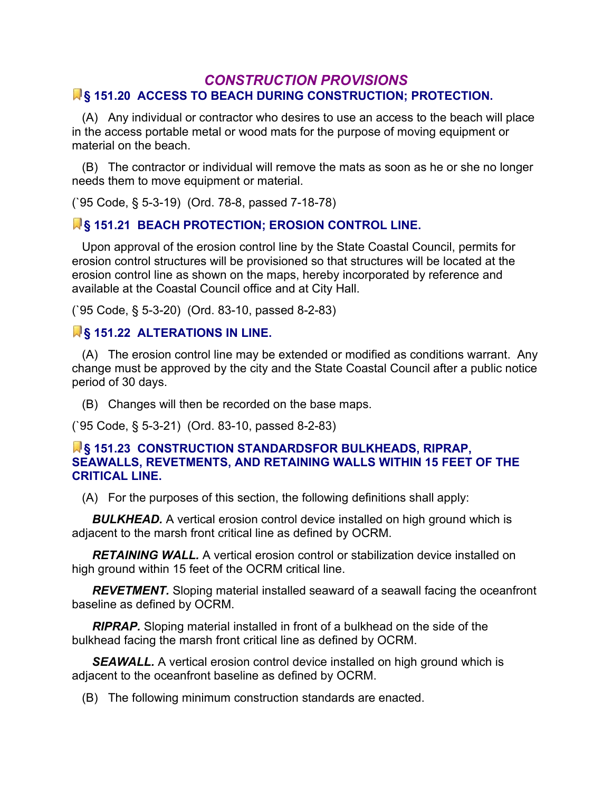# *CONSTRUCTION PROVISIONS* **<b>8** 151.20 ACCESS TO BEACH DURING CONSTRUCTION; PROTECTION.

 (A) Any individual or contractor who desires to use an access to the beach will place in the access portable metal or wood mats for the purpose of moving equipment or material on the beach.

 (B) The contractor or individual will remove the mats as soon as he or she no longer needs them to move equipment or material.

(`95 Code, § 5-3-19) (Ord. 78-8, passed 7-18-78)

# **§ 151.21 BEACH PROTECTION; EROSION CONTROL LINE.**

 Upon approval of the erosion control line by the State Coastal Council, permits for erosion control structures will be provisioned so that structures will be located at the erosion control line as shown on the maps, hereby incorporated by reference and available at the Coastal Council office and at City Hall.

(`95 Code, § 5-3-20) (Ord. 83-10, passed 8-2-83)

### $\sqrt{8}$  **151.22 ALTERATIONS IN LINE.**

 (A) The erosion control line may be extended or modified as conditions warrant. Any change must be approved by the city and the State Coastal Council after a public notice period of 30 days.

(B) Changes will then be recorded on the base maps.

(`95 Code, § 5-3-21) (Ord. 83-10, passed 8-2-83)

#### **§ 151.23 CONSTRUCTION STANDARDSFOR BULKHEADS, RIPRAP, SEAWALLS, REVETMENTS, AND RETAINING WALLS WITHIN 15 FEET OF THE CRITICAL LINE.**

(A) For the purposes of this section, the following definitions shall apply:

**BULKHEAD.** A vertical erosion control device installed on high ground which is adjacent to the marsh front critical line as defined by OCRM.

 *RETAINING WALL.* A vertical erosion control or stabilization device installed on high ground within 15 feet of the OCRM critical line.

 *REVETMENT.* Sloping material installed seaward of a seawall facing the oceanfront baseline as defined by OCRM.

 *RIPRAP.* Sloping material installed in front of a bulkhead on the side of the bulkhead facing the marsh front critical line as defined by OCRM.

**SEAWALL.** A vertical erosion control device installed on high ground which is adjacent to the oceanfront baseline as defined by OCRM.

(B) The following minimum construction standards are enacted.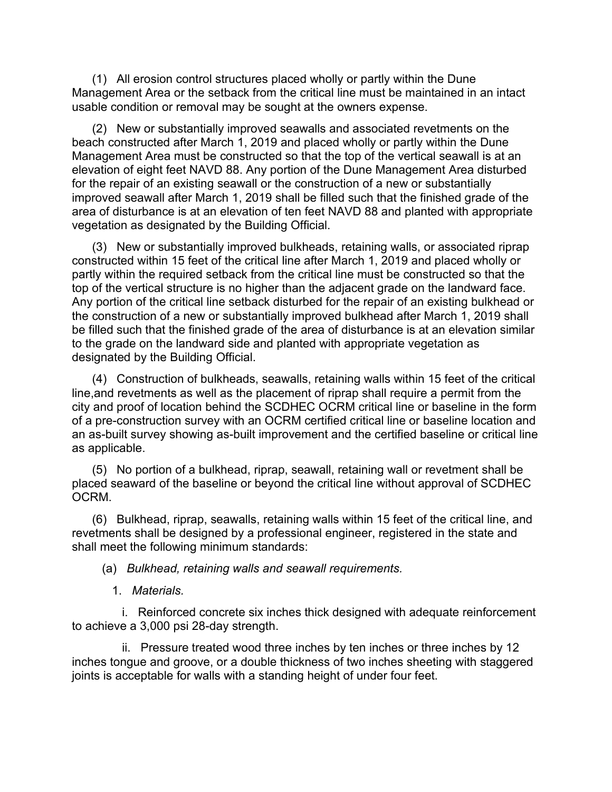(1) All erosion control structures placed wholly or partly within the Dune Management Area or the setback from the critical line must be maintained in an intact usable condition or removal may be sought at the owners expense.

 (2) New or substantially improved seawalls and associated revetments on the beach constructed after March 1, 2019 and placed wholly or partly within the Dune Management Area must be constructed so that the top of the vertical seawall is at an elevation of eight feet NAVD 88. Any portion of the Dune Management Area disturbed for the repair of an existing seawall or the construction of a new or substantially improved seawall after March 1, 2019 shall be filled such that the finished grade of the area of disturbance is at an elevation of ten feet NAVD 88 and planted with appropriate vegetation as designated by the Building Official.

 (3) New or substantially improved bulkheads, retaining walls, or associated riprap constructed within 15 feet of the critical line after March 1, 2019 and placed wholly or partly within the required setback from the critical line must be constructed so that the top of the vertical structure is no higher than the adjacent grade on the landward face. Any portion of the critical line setback disturbed for the repair of an existing bulkhead or the construction of a new or substantially improved bulkhead after March 1, 2019 shall be filled such that the finished grade of the area of disturbance is at an elevation similar to the grade on the landward side and planted with appropriate vegetation as designated by the Building Official.

 (4) Construction of bulkheads, seawalls, retaining walls within 15 feet of the critical line,and revetments as well as the placement of riprap shall require a permit from the city and proof of location behind the SCDHEC OCRM critical line or baseline in the form of a pre-construction survey with an OCRM certified critical line or baseline location and an as-built survey showing as-built improvement and the certified baseline or critical line as applicable.

 (5) No portion of a bulkhead, riprap, seawall, retaining wall or revetment shall be placed seaward of the baseline or beyond the critical line without approval of SCDHEC OCRM.

 (6) Bulkhead, riprap, seawalls, retaining walls within 15 feet of the critical line, and revetments shall be designed by a professional engineer, registered in the state and shall meet the following minimum standards:

(a) *Bulkhead, retaining walls and seawall requirements.*

1. *Materials.*

 i. Reinforced concrete six inches thick designed with adequate reinforcement to achieve a 3,000 psi 28-day strength.

 ii. Pressure treated wood three inches by ten inches or three inches by 12 inches tongue and groove, or a double thickness of two inches sheeting with staggered joints is acceptable for walls with a standing height of under four feet.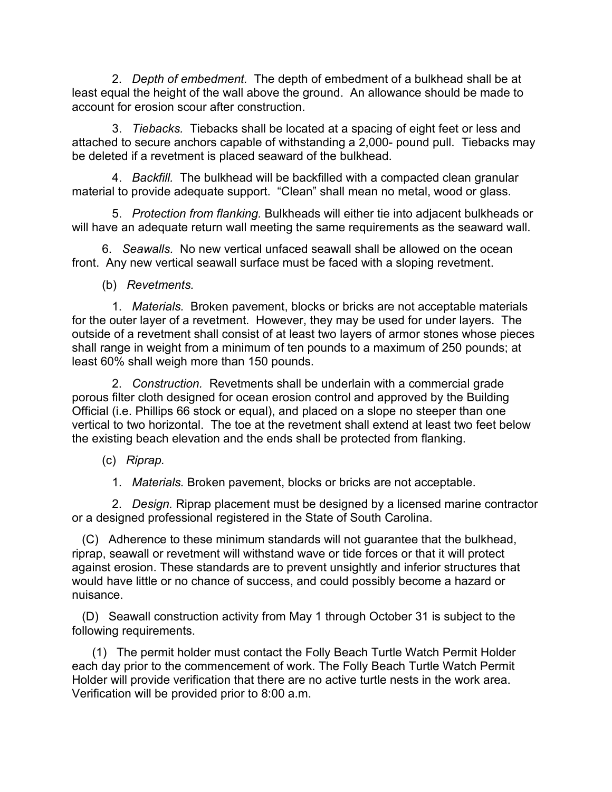2. *Depth of embedment.* The depth of embedment of a bulkhead shall be at least equal the height of the wall above the ground. An allowance should be made to account for erosion scour after construction.

 3. *Tiebacks.* Tiebacks shall be located at a spacing of eight feet or less and attached to secure anchors capable of withstanding a 2,000- pound pull. Tiebacks may be deleted if a revetment is placed seaward of the bulkhead.

 4. *Backfill.* The bulkhead will be backfilled with a compacted clean granular material to provide adequate support. "Clean" shall mean no metal, wood or glass.

 5. *Protection from flanking.* Bulkheads will either tie into adjacent bulkheads or will have an adequate return wall meeting the same requirements as the seaward wall.

 6. *Seawalls.* No new vertical unfaced seawall shall be allowed on the ocean front. Any new vertical seawall surface must be faced with a sloping revetment.

(b) *Revetments.*

 1. *Materials.* Broken pavement, blocks or bricks are not acceptable materials for the outer layer of a revetment. However, they may be used for under layers. The outside of a revetment shall consist of at least two layers of armor stones whose pieces shall range in weight from a minimum of ten pounds to a maximum of 250 pounds; at least 60% shall weigh more than 150 pounds.

 2. *Construction.* Revetments shall be underlain with a commercial grade porous filter cloth designed for ocean erosion control and approved by the Building Official (i.e. Phillips 66 stock or equal), and placed on a slope no steeper than one vertical to two horizontal. The toe at the revetment shall extend at least two feet below the existing beach elevation and the ends shall be protected from flanking.

(c) *Riprap.*

1. *Materials.* Broken pavement, blocks or bricks are not acceptable.

 2. *Design.* Riprap placement must be designed by a licensed marine contractor or a designed professional registered in the State of South Carolina.

 (C) Adherence to these minimum standards will not guarantee that the bulkhead, riprap, seawall or revetment will withstand wave or tide forces or that it will protect against erosion. These standards are to prevent unsightly and inferior structures that would have little or no chance of success, and could possibly become a hazard or nuisance.

 (D) Seawall construction activity from May 1 through October 31 is subject to the following requirements.

 (1) The permit holder must contact the Folly Beach Turtle Watch Permit Holder each day prior to the commencement of work. The Folly Beach Turtle Watch Permit Holder will provide verification that there are no active turtle nests in the work area. Verification will be provided prior to 8:00 a.m.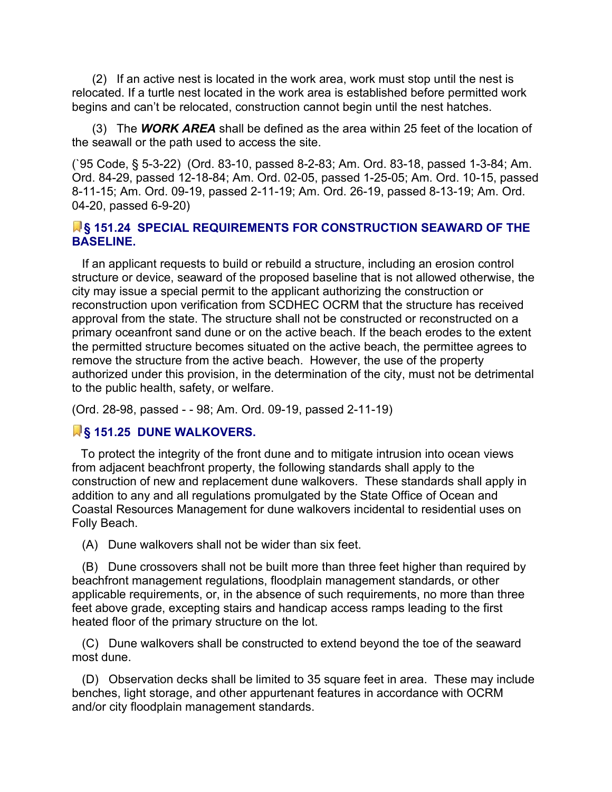(2) If an active nest is located in the work area, work must stop until the nest is relocated. If a turtle nest located in the work area is established before permitted work begins and can't be relocated, construction cannot begin until the nest hatches.

 (3) The *WORK AREA* shall be defined as the area within 25 feet of the location of the seawall or the path used to access the site.

(`95 Code, § 5-3-22) (Ord. 83-10, passed 8-2-83; Am. Ord. 83-18, passed 1-3-84; Am. Ord. 84-29, passed 12-18-84; Am. Ord. 02-05, passed 1-25-05; Am. Ord. 10-15, passed 8-11-15; Am. Ord. 09-19, passed 2-11-19; Am. Ord. 26-19, passed 8-13-19; Am. Ord. 04-20, passed 6-9-20)

### **§ 151.24 SPECIAL REQUIREMENTS FOR CONSTRUCTION SEAWARD OF THE BASELINE.**

 If an applicant requests to build or rebuild a structure, including an erosion control structure or device, seaward of the proposed baseline that is not allowed otherwise, the city may issue a special permit to the applicant authorizing the construction or reconstruction upon verification from SCDHEC OCRM that the structure has received approval from the state. The structure shall not be constructed or reconstructed on a primary oceanfront sand dune or on the active beach. If the beach erodes to the extent the permitted structure becomes situated on the active beach, the permittee agrees to remove the structure from the active beach. However, the use of the property authorized under this provision, in the determination of the city, must not be detrimental to the public health, safety, or welfare.

(Ord. 28-98, passed - - 98; Am. Ord. 09-19, passed 2-11-19)

# **<b>8** 151.25 DUNE WALKOVERS.

 To protect the integrity of the front dune and to mitigate intrusion into ocean views from adjacent beachfront property, the following standards shall apply to the construction of new and replacement dune walkovers. These standards shall apply in addition to any and all regulations promulgated by the State Office of Ocean and Coastal Resources Management for dune walkovers incidental to residential uses on Folly Beach.

(A) Dune walkovers shall not be wider than six feet.

 (B) Dune crossovers shall not be built more than three feet higher than required by beachfront management regulations, floodplain management standards, or other applicable requirements, or, in the absence of such requirements, no more than three feet above grade, excepting stairs and handicap access ramps leading to the first heated floor of the primary structure on the lot.

 (C) Dune walkovers shall be constructed to extend beyond the toe of the seaward most dune.

 (D) Observation decks shall be limited to 35 square feet in area. These may include benches, light storage, and other appurtenant features in accordance with OCRM and/or city floodplain management standards.